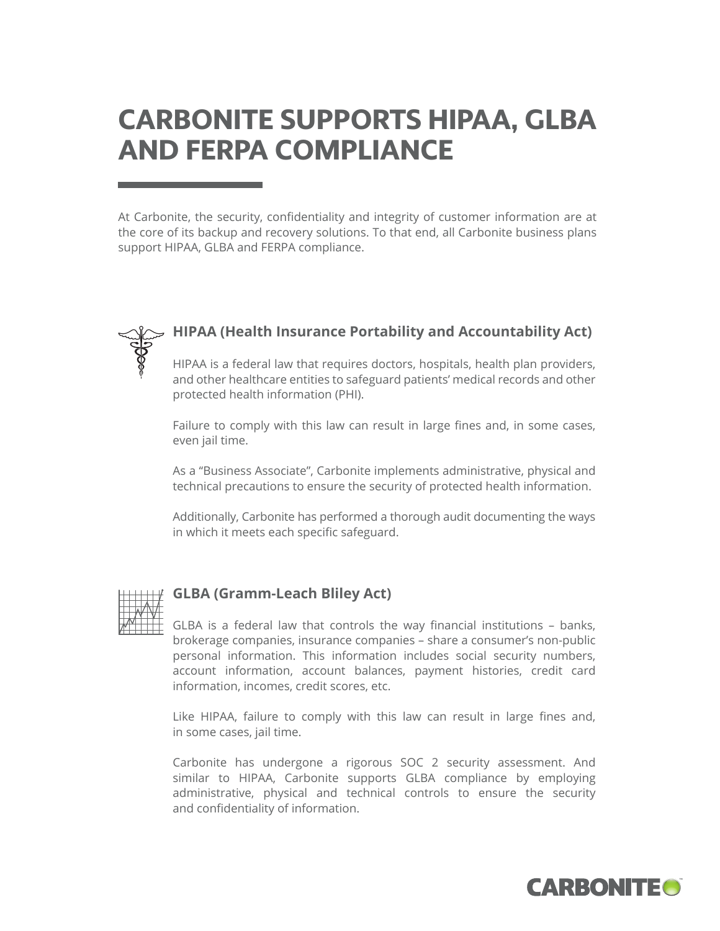# **CARBONITE SUPPORTS HIPAA, GLBA AND FERPA COMPLIANCE**

At Carbonite, the security, confidentiality and integrity of customer information are at the core of its backup and recovery solutions. To that end, all Carbonite business plans support HIPAA, GLBA and FERPA compliance.



### **HIPAA (Health Insurance Portability and Accountability Act)**

HIPAA is a federal law that requires doctors, hospitals, health plan providers, and other healthcare entities to safeguard patients' medical records and other protected health information (PHI).

Failure to comply with this law can result in large fines and, in some cases, even jail time.

As a "Business Associate", Carbonite implements administrative, physical and technical precautions to ensure the security of protected health information.

Additionally, Carbonite has performed a thorough audit documenting the ways in which it meets each specific safeguard.



### **GLBA (Gramm-Leach Bliley Act)**

GLBA is a federal law that controls the way financial institutions – banks, brokerage companies, insurance companies – share a consumer's non-public personal information. This information includes social security numbers, account information, account balances, payment histories, credit card information, incomes, credit scores, etc.

Like HIPAA, failure to comply with this law can result in large fines and, in some cases, jail time.

Carbonite has undergone a rigorous SOC 2 security assessment. And similar to HIPAA, Carbonite supports GLBA compliance by employing administrative, physical and technical controls to ensure the security and confidentiality of information.